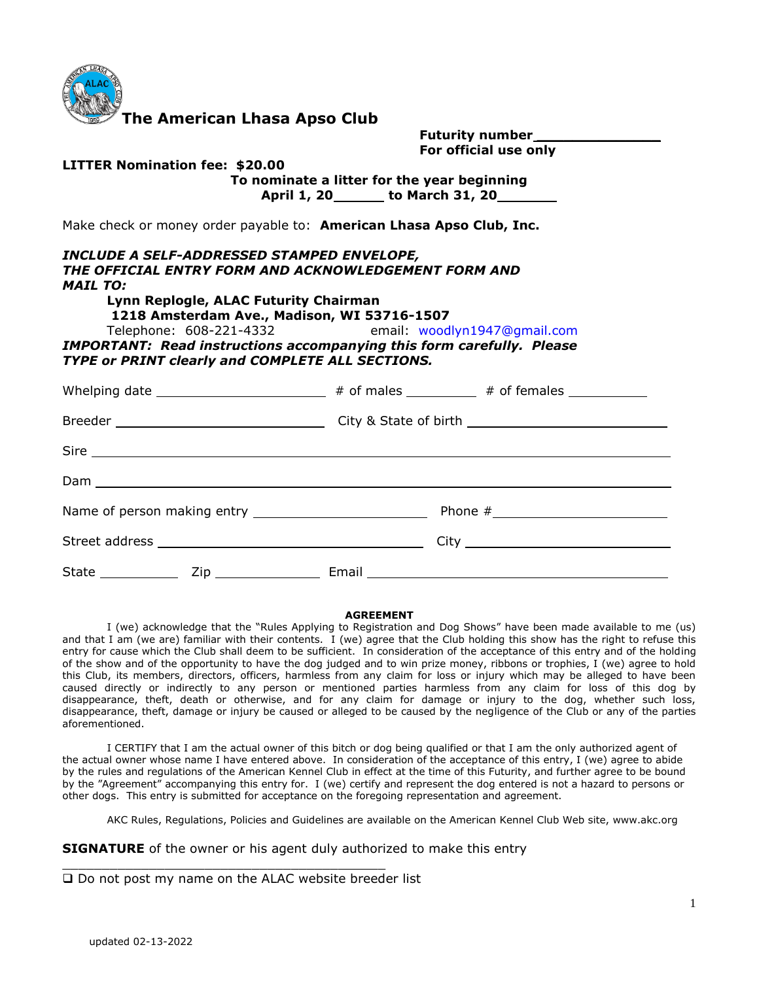

**The American Lhasa Apso Club** 

| <b>Futurity number</b> |  |
|------------------------|--|
| For official use only  |  |

### **LITTER Nomination fee: \$20.00 To nominate a litter for the year beginning April 1, 20 to March 31, 20**

Make check or money order payable to: **American Lhasa Apso Club, Inc.** 

#### *INCLUDE A SELF-ADDRESSED STAMPED ENVELOPE, THE OFFICIAL ENTRY FORM AND ACKNOWLEDGEMENT FORM AND MAIL TO:*

**Lynn Replogle, ALAC Futurity Chairman** 

**1218 Amsterdam Ave., Madison, WI 53716-1507** 

Telephone: 608-221-4332 email: woodlyn1947@gmail.com

*IMPORTANT: Read instructions accompanying this form carefully. Please TYPE or PRINT clearly and COMPLETE ALL SECTIONS.* 

#### **AGREEMENT**

I (we) acknowledge that the "Rules Applying to Registration and Dog Shows" have been made available to me (us) and that I am (we are) familiar with their contents. I (we) agree that the Club holding this show has the right to refuse this entry for cause which the Club shall deem to be sufficient. In consideration of the acceptance of this entry and of the holding of the show and of the opportunity to have the dog judged and to win prize money, ribbons or trophies, I (we) agree to hold this Club, its members, directors, officers, harmless from any claim for loss or injury which may be alleged to have been caused directly or indirectly to any person or mentioned parties harmless from any claim for loss of this dog by disappearance, theft, death or otherwise, and for any claim for damage or injury to the dog, whether such loss, disappearance, theft, damage or injury be caused or alleged to be caused by the negligence of the Club or any of the parties aforementioned.

I CERTIFY that I am the actual owner of this bitch or dog being qualified or that I am the only authorized agent of the actual owner whose name I have entered above. In consideration of the acceptance of this entry, I (we) agree to abide by the rules and regulations of the American Kennel Club in effect at the time of this Futurity, and further agree to be bound by the "Agreement" accompanying this entry for. I (we) certify and represent the dog entered is not a hazard to persons or other dogs. This entry is submitted for acceptance on the foregoing representation and agreement.

AKC Rules, Regulations, Policies and Guidelines are available on the American Kennel Club Web site, www.akc.org

**SIGNATURE** of the owner or his agent duly authorized to make this entry

□ Do not post my name on the ALAC website breeder list

\_\_\_\_\_\_\_\_\_\_\_\_\_\_\_\_\_\_\_\_\_\_\_\_\_\_\_\_\_\_\_\_\_\_\_\_\_\_\_\_\_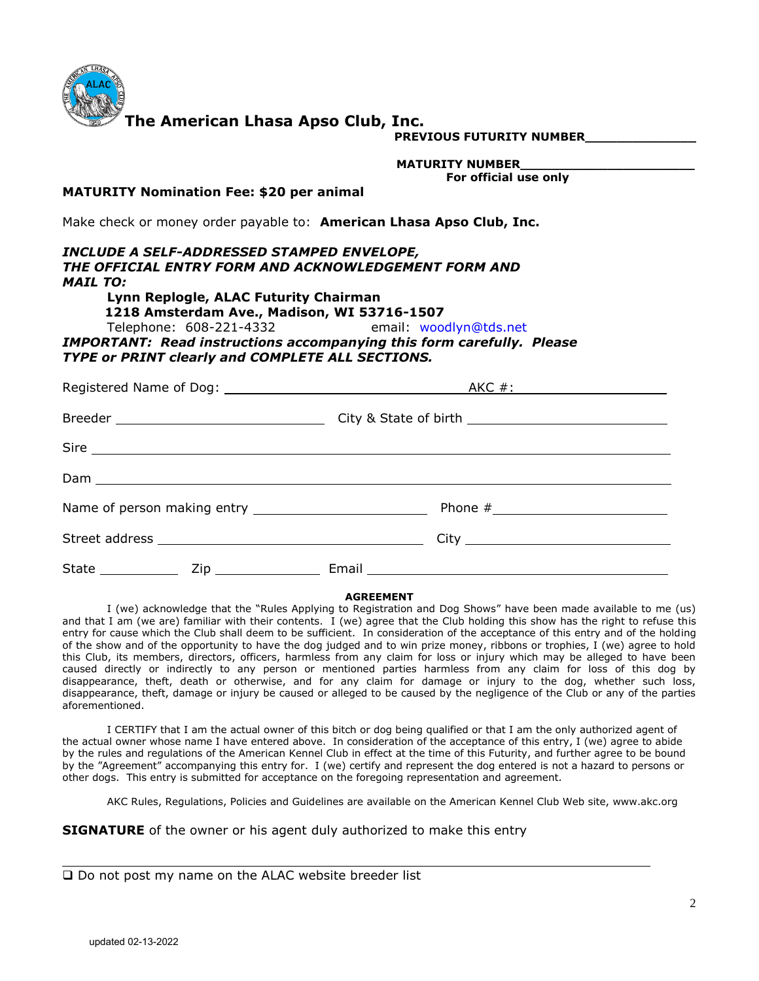

**The American Lhasa Apso Club, Inc.** 

**PREVIOUS FUTURITY NUMBER\_\_\_\_\_\_\_\_\_\_\_\_\_\_** 

 **MATURITY NUMBER\_\_\_\_\_\_\_\_\_\_\_\_\_\_\_\_\_\_\_\_\_\_**

**For official use only**

#### **MATURITY Nomination Fee: \$20 per animal**

Make check or money order payable to: **American Lhasa Apso Club, Inc.** 

*INCLUDE A SELF-ADDRESSED STAMPED ENVELOPE, THE OFFICIAL ENTRY FORM AND ACKNOWLEDGEMENT FORM AND MAIL TO:*  **Lynn Replogle, ALAC Futurity Chairman** 

 **1218 Amsterdam Ave., Madison, WI 53716-1507** 

Telephone: 608-221-4332 email: woodlyn@tds.net

*IMPORTANT: Read instructions accompanying this form carefully. Please TYPE or PRINT clearly and COMPLETE ALL SECTIONS.* 

| A <u>KC #:</u> |
|----------------|
|                |
|                |
|                |
|                |
|                |
|                |

#### **AGREEMENT**

 I (we) acknowledge that the "Rules Applying to Registration and Dog Shows" have been made available to me (us) and that I am (we are) familiar with their contents. I (we) agree that the Club holding this show has the right to refuse this entry for cause which the Club shall deem to be sufficient. In consideration of the acceptance of this entry and of the holding of the show and of the opportunity to have the dog judged and to win prize money, ribbons or trophies, I (we) agree to hold this Club, its members, directors, officers, harmless from any claim for loss or injury which may be alleged to have been caused directly or indirectly to any person or mentioned parties harmless from any claim for loss of this dog by disappearance, theft, death or otherwise, and for any claim for damage or injury to the dog, whether such loss, disappearance, theft, damage or injury be caused or alleged to be caused by the negligence of the Club or any of the parties aforementioned.

 I CERTIFY that I am the actual owner of this bitch or dog being qualified or that I am the only authorized agent of the actual owner whose name I have entered above. In consideration of the acceptance of this entry, I (we) agree to abide by the rules and regulations of the American Kennel Club in effect at the time of this Futurity, and further agree to be bound by the "Agreement" accompanying this entry for. I (we) certify and represent the dog entered is not a hazard to persons or other dogs. This entry is submitted for acceptance on the foregoing representation and agreement.

AKC Rules, Regulations, Policies and Guidelines are available on the American Kennel Club Web site, www.akc.org

**SIGNATURE** of the owner or his agent duly authorized to make this entry

| $\square$ Do not post my name on the ALAC website breeder list |  |  |  |  |  |  |  |  |  |  |
|----------------------------------------------------------------|--|--|--|--|--|--|--|--|--|--|
|----------------------------------------------------------------|--|--|--|--|--|--|--|--|--|--|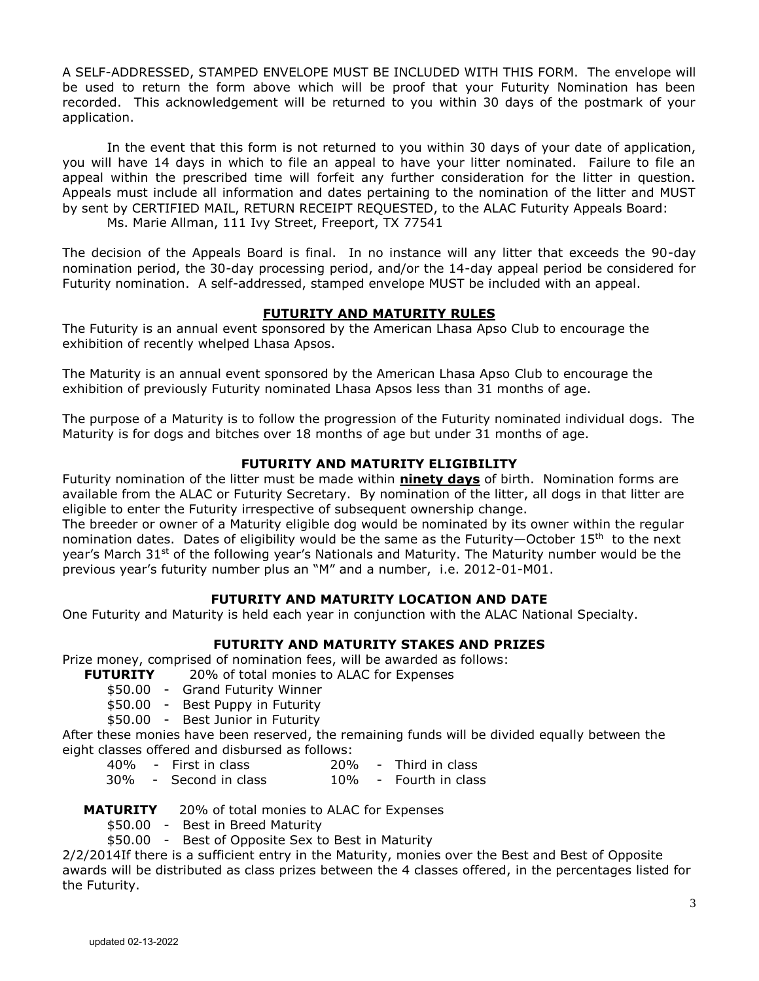A SELF-ADDRESSED, STAMPED ENVELOPE MUST BE INCLUDED WITH THIS FORM. The envelope will be used to return the form above which will be proof that your Futurity Nomination has been recorded. This acknowledgement will be returned to you within 30 days of the postmark of your application.

 In the event that this form is not returned to you within 30 days of your date of application, you will have 14 days in which to file an appeal to have your litter nominated. Failure to file an appeal within the prescribed time will forfeit any further consideration for the litter in question. Appeals must include all information and dates pertaining to the nomination of the litter and MUST by sent by CERTIFIED MAIL, RETURN RECEIPT REQUESTED, to the ALAC Futurity Appeals Board: Ms. Marie Allman, 111 Ivy Street, Freeport, TX 77541

The decision of the Appeals Board is final. In no instance will any litter that exceeds the 90-day nomination period, the 30-day processing period, and/or the 14-day appeal period be considered for Futurity nomination. A self-addressed, stamped envelope MUST be included with an appeal.

# **FUTURITY AND MATURITY RULES**

The Futurity is an annual event sponsored by the American Lhasa Apso Club to encourage the exhibition of recently whelped Lhasa Apsos.

The Maturity is an annual event sponsored by the American Lhasa Apso Club to encourage the exhibition of previously Futurity nominated Lhasa Apsos less than 31 months of age.

The purpose of a Maturity is to follow the progression of the Futurity nominated individual dogs. The Maturity is for dogs and bitches over 18 months of age but under 31 months of age.

# **FUTURITY AND MATURITY ELIGIBILITY**

Futurity nomination of the litter must be made within **ninety days** of birth. Nomination forms are available from the ALAC or Futurity Secretary. By nomination of the litter, all dogs in that litter are eligible to enter the Futurity irrespective of subsequent ownership change.

The breeder or owner of a Maturity eligible dog would be nominated by its owner within the regular nomination dates. Dates of eligibility would be the same as the Futurity—October 15<sup>th</sup> to the next year's March  $31^{st}$  of the following year's Nationals and Maturity. The Maturity number would be the previous year's futurity number plus an "M" and a number, i.e. 2012-01-M01.

# **FUTURITY AND MATURITY LOCATION AND DATE**

One Futurity and Maturity is held each year in conjunction with the ALAC National Specialty.

# **FUTURITY AND MATURITY STAKES AND PRIZES**

Prize money, comprised of nomination fees, will be awarded as follows:

- **FUTURITY** 20% of total monies to ALAC for Expenses
	- \$50.00 Grand Futurity Winner
	- \$50.00 Best Puppy in Futurity
	- \$50.00 Best Junior in Futurity

After these monies have been reserved, the remaining funds will be divided equally between the eight classes offered and disbursed as follows:

- 40% First in class 20% Third in class
- 30% Second in class 10% Fourth in class

# **MATURITY** 20% of total monies to ALAC for Expenses

- \$50.00 Best in Breed Maturity
- \$50.00 Best of Opposite Sex to Best in Maturity

2/2/2014If there is a sufficient entry in the Maturity, monies over the Best and Best of Opposite awards will be distributed as class prizes between the 4 classes offered, in the percentages listed for the Futurity.